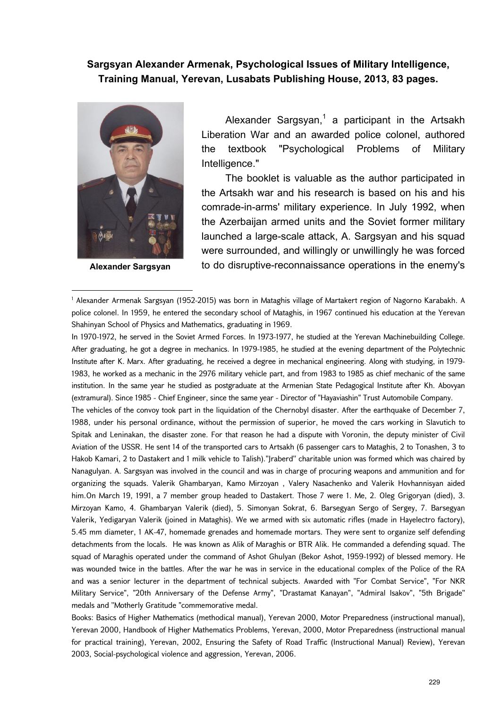## **Sargsyan Alexander Armenak, Psychological Issues of Military Intelligence, Training Manual, Yerevan, Lusabats Publishing House, 2013, 83 pages.**



**Alexander Sargsyan**

Alexander Sargsyan, $^1$  a participant in the Artsakh Liberation War and an awarded police colonel, authored the textbook "Psychological Problems of Military Intelligence."

The booklet is valuable as the author participated in the Artsakh war and his research is based on his and his comrade-in-arms' military experience. In July 1992, when the Azerbaijan armed units and the Soviet former military launched a large-scale attack, A. Sargsyan and his squad were surrounded, and willingly or unwillingly he was forced to do disruptive-reconnaissance operations in the enemy's

1 Alexander Armenak Sargsyan (1952-2015) was born in Mataghis village of Martakert region of Nagorno Karabakh. A police colonel. In 1959, he entered the secondary school of Mataghis, in 1967 continued his education at the Yerevan Shahinyan School of Physics and Mathematics, graduating in 1969.

In 1970-1972, he served in the Soviet Armed Forces. In 1973-1977, he studied at the Yerevan Machinebuilding College. After graduating, he got a degree in mechanics. In 1979-1985, he studied at the evening department of the Polytechnic Institute after K. Marx. After graduating, he received a degree in mechanical engineering. Along with studying, in 1979- 1983, he worked as a mechanic in the 2976 military vehicle part, and from 1983 to 1985 as chief mechanic of the same institution. In the same year he studied as postgraduate at the Armenian State Pedagogical Institute after Kh. Abovyan (extramural). Since 1985 - Chief Engineer, since the same year - Director of "Hayaviashin" Trust Automobile Company.

The vehicles of the convoy took part in the liquidation of the Chernobyl disaster. After the earthquake of December 7, 1988, under his personal ordinance, without the permission of superior, he moved the cars working in Slavutich to Spitak and Leninakan, the disaster zone. For that reason he had a dispute with Voronin, the deputy minister of Civil Aviation of the USSR. He sent 14 of the transported cars to Artsakh (6 passenger cars to Mataghis, 2 to Tonashen, 3 to Hakob Kamari, 2 to Dastakert and 1 milk vehicle to Talish).''Jraberd'' charitable union was formed which was chaired by Nanagulyan. A. Sargsyan was involved in the council and was in charge of procuring weapons and ammunition and for organizing the squads. Valerik Ghambaryan, Kamo Mirzoyan , Valery Nasachenko and Valerik Hovhannisyan aided him.On March 19, 1991, a 7 member group headed to Dastakert. Those 7 were 1. Me, 2. Oleg Grigoryan (died), 3. Mirzoyan Kamo, 4. Ghambaryan Valerik (died), 5. Simonyan Sokrat, 6. Barsegyan Sergo of Sergey, 7. Barsegyan Valerik, Yedigaryan Valerik (joined in Mataghis). We we armed with six automatic rifles (made in Hayelectro factory), 5.45 mm diameter, 1 AK-47, homemade grenades and homemade mortars. They were sent to organize self defending detachments from the locals. He was known as Alik of Maraghis or BTR Alik. He commanded a defending squad. The squad of Maraghis operated under the command of Ashot Ghulyan (Bekor Ashot, 1959-1992) of blessed memory. He was wounded twice in the battles. After the war he was in service in the educational complex of the Police of the RA and was a senior lecturer in the department of technical subjects. Awarded with "For Combat Service", "For NKR Military Service", "20th Anniversary of the Defense Army", "Drastamat Kanayan", "Admiral Isakov", "5th Brigade'' medals and ''Motherly Gratitude "commemorative medal.

Books: Basics of Higher Mathematics (methodical manual), Yerevan 2000, Motor Preparedness (instructional manual), Yerevan 2000, Handbook of Higher Mathematics Problems, Yerevan, 2000, Motor Preparedness (instructional manual for practical training), Yerevan, 2002, Ensuring the Safety of Road Traffic (Instructional Manual) Review), Yerevan 2003, Social-psychological violence and aggression, Yerevan, 2006.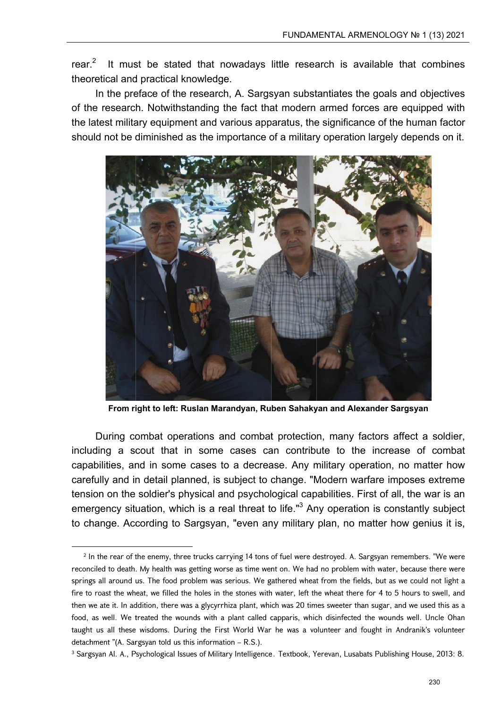$rear<sup>2</sup>$ It must be stated that nowadays little research is available that combines theoretical and practical knowledge.

In the preface of the research, A. Sargsyan substantiates the goals and objectives of the research. Notwithstanding the fact that modern armed forces are equipped with the latest military equipment and various apparatus, the significance of the human factor should not be diminished as the importance of a military operation largely depends on it.



From right to left: Ruslan Marandyan, Ruben Sahakyan and Alexander Sargsyan

During combat operations and combat protection, many factors affect a soldier, including a scout that in some cases can contribute to the increase of combat capabilities, and in some cases to a decrease. Any military operation, no matter how carefully and in detail planned, is subject to change. "Modern warfare imposes extreme tension on the soldier's physical and psychological capabilities. First of all, the war is an emergency situation, which is a real threat to life."<sup>3</sup> Any operation is constantly subject to change. According to Sargsyan, "even any military plan, no matter how genius it is,

 $2$  In the rear of the enemy, three trucks carrying 14 tons of fuel were destroyed. A. Sargsyan remembers. "We were reconciled to death. My health was getting worse as time went on. We had no problem with water, because there were springs all around us. The food problem was serious. We gathered wheat from the fields, but as we could not light a fire to roast the wheat, we filled the holes in the stones with water, left the wheat there for 4 to 5 hours to swell, and then we ate it. In addition, there was a glycyrrhiza plant, which was 20 times sweeter than sugar, and we used this as a food, as well. We treated the wounds with a plant called capparis, which disinfected the wounds well. Uncle Ohan taught us all these wisdoms. During the First World War he was a volunteer and fought in Andranik's volunteer detachment " $(A.$  Sargsyan told us this information  $- R.S.$ ).

<sup>&</sup>lt;sup>3</sup> Sargsyan Al. A., Psychological Issues of Military Intelligence. Textbook, Yerevan, Lusabats Publishing House, 2013: 8.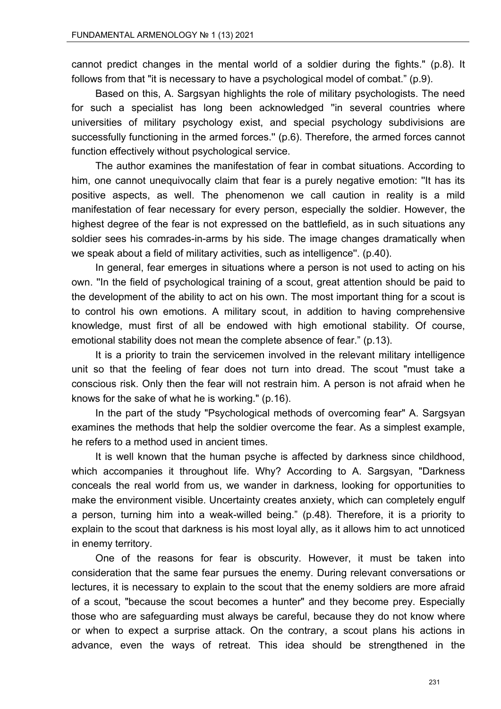cannot predict changes in the mental world of a soldier during the fights." (p.8). It follows from that "it is necessary to have a psychological model of combat." (p.9).

Based on this, A. Sargsyan highlights the role of military psychologists. The need for such a specialist has long been acknowledged ''in several countries where universities of military psychology exist, and special psychology subdivisions are successfully functioning in the armed forces." (p.6). Therefore, the armed forces cannot function effectively without psychological service.

The author examines the manifestation of fear in combat situations. According to him, one cannot unequivocally claim that fear is a purely negative emotion: ''It has its positive aspects, as well. The phenomenon we call caution in reality is a mild manifestation of fear necessary for every person, especially the soldier. However, the highest degree of the fear is not expressed on the battlefield, as in such situations any soldier sees his comrades-in-arms by his side. The image changes dramatically when we speak about a field of military activities, such as intelligence''. (p.40).

In general, fear emerges in situations where a person is not used to acting on his own. ''In the field of psychological training of a scout, great attention should be paid to the development of the ability to act on his own. The most important thing for a scout is to control his own emotions. A military scout, in addition to having comprehensive knowledge, must first of all be endowed with high emotional stability. Of course, emotional stability does not mean the complete absence of fear." (p.13).

It is a priority to train the servicemen involved in the relevant military intelligence unit so that the feeling of fear does not turn into dread. The scout "must take a conscious risk. Only then the fear will not restrain him. A person is not afraid when he knows for the sake of what he is working." (p.16).

In the part of the study "Psychological methods of overcoming fear" A. Sargsyan examines the methods that help the soldier overcome the fear. As a simplest example, he refers to a method used in ancient times.

It is well known that the human psyche is affected by darkness since childhood, which accompanies it throughout life. Why? According to A. Sargsyan, "Darkness conceals the real world from us, we wander in darkness, looking for opportunities to make the environment visible. Uncertainty creates anxiety, which can completely engulf a person, turning him into a weak-willed being." (p.48). Therefore, it is a priority to explain to the scout that darkness is his most loyal ally, as it allows him to act unnoticed in enemy territory.

One of the reasons for fear is obscurity. However, it must be taken into consideration that the same fear pursues the enemy. During relevant conversations or lectures, it is necessary to explain to the scout that the enemy soldiers are more afraid of a scout, "because the scout becomes a hunter" and they become prey. Especially those who are safeguarding must always be careful, because they do not know where or when to expect a surprise attack. On the contrary, a scout plans his actions in advance, even the ways of retreat. This idea should be strengthened in the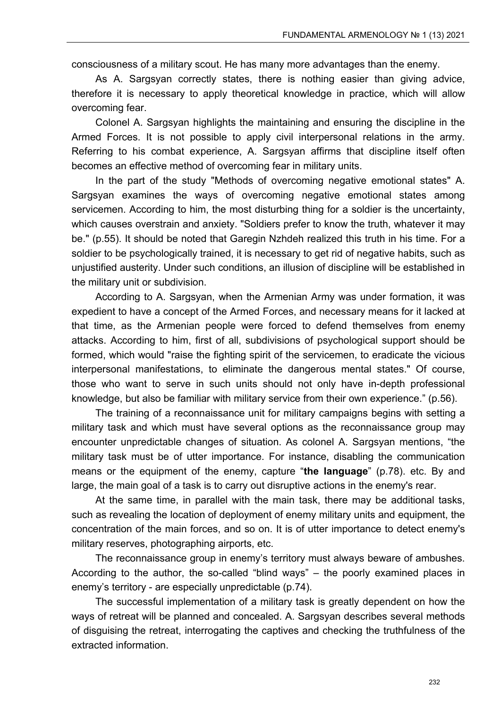consciousness of a military scout. He has many more advantages than the enemy.

As A. Sargsyan correctly states, there is nothing easier than giving advice, therefore it is necessary to apply theoretical knowledge in practice, which will allow overcoming fear.

Colonel A. Sargsyan highlights the maintaining and ensuring the discipline in the Armed Forces. It is not possible to apply civil interpersonal relations in the army. Referring to his combat experience, A. Sargsyan affirms that discipline itself often becomes an effective method of overcoming fear in military units.

In the part of the study "Methods of overcoming negative emotional states" A. Sargsyan examines the ways of overcoming negative emotional states among servicemen. According to him, the most disturbing thing for a soldier is the uncertainty, which causes overstrain and anxiety. "Soldiers prefer to know the truth, whatever it may be." (p.55). It should be noted that Garegin Nzhdeh realized this truth in his time. For a soldier to be psychologically trained, it is necessary to get rid of negative habits, such as unjustified austerity. Under such conditions, an illusion of discipline will be established in the military unit or subdivision.

According to A. Sargsyan, when the Armenian Army was under formation, it was expedient to have a concept of the Armed Forces, and necessary means for it lacked at that time, as the Armenian people were forced to defend themselves from enemy attacks. According to him, first of all, subdivisions of psychological support should be formed, which would "raise the fighting spirit of the servicemen, to eradicate the vicious interpersonal manifestations, to eliminate the dangerous mental states." Of course, those who want to serve in such units should not only have in-depth professional knowledge, but also be familiar with military service from their own experience." (p.56).

The training of a reconnaissance unit for military campaigns begins with setting a military task and which must have several options as the reconnaissance group may encounter unpredictable changes of situation. As colonel A. Sargsyan mentions, "the military task must be of utter importance. For instance, disabling the communication means or the equipment of the enemy, capture "**the language**" (p.78). etc. By and large, the main goal of a task is to carry out disruptive actions in the enemy's rear.

At the same time, in parallel with the main task, there may be additional tasks, such as revealing the location of deployment of enemy military units and equipment, the concentration of the main forces, and so on. It is of utter importance to detect enemy's military reserves, photographing airports, etc.

The reconnaissance group in enemy's territory must always beware of ambushes. According to the author, the so-called "blind ways" – the poorly examined places in enemy's territory - are especially unpredictable (p.74).

The successful implementation of a military task is greatly dependent on how the ways of retreat will be planned and concealed. A. Sargsyan describes several methods of disguising the retreat, interrogating the captives and checking the truthfulness of the extracted information.